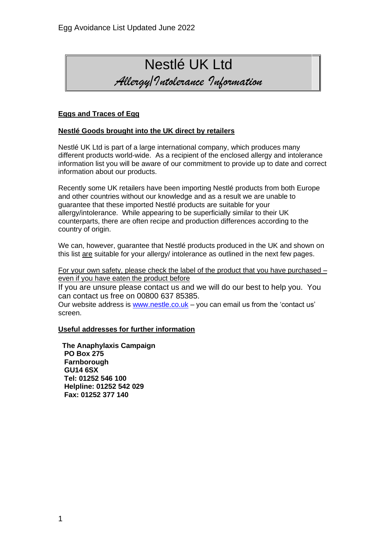

### **Eggs and Traces of Egg**

### **Nestlé Goods brought into the UK direct by retailers**

Nestlé UK Ltd is part of a large international company, which produces many different products world-wide. As a recipient of the enclosed allergy and intolerance information list you will be aware of our commitment to provide up to date and correct information about our products.

Recently some UK retailers have been importing Nestlé products from both Europe and other countries without our knowledge and as a result we are unable to guarantee that these imported Nestlé products are suitable for your allergy/intolerance. While appearing to be superficially similar to their UK counterparts, there are often recipe and production differences according to the country of origin.

We can, however, quarantee that Nestlé products produced in the UK and shown on this list are suitable for your allergy/ intolerance as outlined in the next few pages.

For your own safety, please check the label of the product that you have purchased – even if you have eaten the product before

If you are unsure please contact us and we will do our best to help you. You can contact us free on 00800 637 85385.

Our website address is [www.nestle.co.uk](http://www.nestle.co.uk/) – you can email us from the 'contact us' screen.

### **Useful addresses for further information**

 **The Anaphylaxis Campaign PO Box 275 Farnborough GU14 6SX Tel: 01252 546 100 Helpline: 01252 542 029 Fax: 01252 377 140**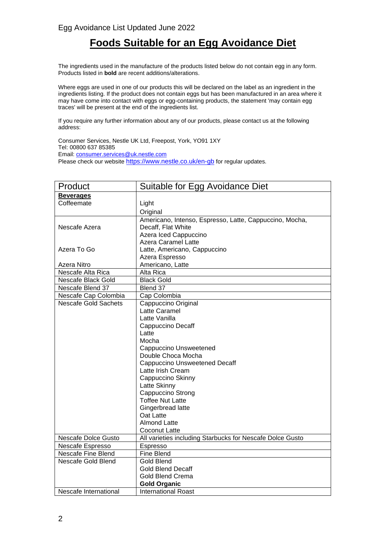## **Foods Suitable for an Egg Avoidance Diet**

The ingredients used in the manufacture of the products listed below do not contain egg in any form. Products listed in **bold** are recent additions/alterations.

Where eggs are used in one of our products this will be declared on the label as an ingredient in the ingredients listing. If the product does not contain eggs but has been manufactured in an area where it may have come into contact with eggs or egg-containing products, the statement 'may contain egg traces' will be present at the end of the ingredients list.

If you require any further information about any of our products, please contact us at the following address:

Consumer Services, Nestle UK Ltd, Freepost, York, YO91 1XY Tel: 00800 637 85385 Email: [consumer.services@uk.nestle.com](mailto:consumer.services@uk.nestle.com) Please check our website <https://www.nestle.co.uk/en-gb> for regular updates.

| Product                     | Suitable for Egg Avoidance Diet                           |  |
|-----------------------------|-----------------------------------------------------------|--|
| <b>Beverages</b>            |                                                           |  |
| Coffeemate                  | Light                                                     |  |
|                             | Original                                                  |  |
|                             | Americano, Intenso, Espresso, Latte, Cappuccino, Mocha,   |  |
| Nescafe Azera               | Decaff, Flat White                                        |  |
|                             | Azera Iced Cappuccino                                     |  |
|                             | <b>Azera Caramel Latte</b>                                |  |
| Azera To Go                 | Latte, Americano, Cappuccino                              |  |
|                             | Azera Espresso                                            |  |
| Azera Nitro                 | Americano, Latte                                          |  |
| Nescafe Alta Rica           | Alta Rica                                                 |  |
| Nescafe Black Gold          | <b>Black Gold</b>                                         |  |
| Nescafe Blend 37            | Blend 37                                                  |  |
| Nescafe Cap Colombia        | Cap Colombia                                              |  |
| <b>Nescafe Gold Sachets</b> | Cappuccino Original                                       |  |
|                             | Latte Caramel                                             |  |
|                             | Latte Vanilla                                             |  |
|                             | Cappuccino Decaff                                         |  |
|                             | Latte                                                     |  |
|                             | Mocha                                                     |  |
|                             | <b>Cappuccino Unsweetened</b>                             |  |
|                             | Double Choca Mocha                                        |  |
|                             | <b>Cappuccino Unsweetened Decaff</b>                      |  |
|                             | Latte Irish Cream                                         |  |
|                             | Cappuccino Skinny                                         |  |
|                             | Latte Skinny                                              |  |
|                             | Cappuccino Strong                                         |  |
|                             | <b>Toffee Nut Latte</b>                                   |  |
|                             | Gingerbread latte                                         |  |
|                             | Oat Latte                                                 |  |
|                             | <b>Almond Latte</b>                                       |  |
|                             | Coconut Latte                                             |  |
| <b>Nescafe Dolce Gusto</b>  | All varieties including Starbucks for Nescafe Dolce Gusto |  |
| Nescafe Espresso            | Espresso                                                  |  |
| Nescafe Fine Blend          | Fine Blend                                                |  |
| Nescafe Gold Blend          | Gold Blend                                                |  |
|                             | <b>Gold Blend Decaff</b>                                  |  |
|                             | Gold Blend Crema                                          |  |
|                             | <b>Gold Organic</b>                                       |  |
| Nescafe International       | <b>International Roast</b>                                |  |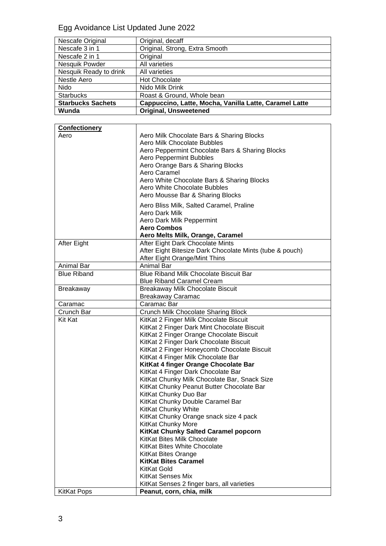# Egg Avoidance List Updated June 2022

| Nescafe Original         | Original, decaff                                       |
|--------------------------|--------------------------------------------------------|
| Nescafe 3 in 1           | Original, Strong, Extra Smooth                         |
| Nescafe 2 in 1           | Original                                               |
| Nesquik Powder           | All varieties                                          |
| Nesquik Ready to drink   | All varieties                                          |
| Nestle Aero              | <b>Hot Chocolate</b>                                   |
| Nido                     | Nido Milk Drink                                        |
| <b>Starbucks</b>         | Roast & Ground, Whole bean                             |
| <b>Starbucks Sachets</b> | Cappuccino, Latte, Mocha, Vanilla Latte, Caramel Latte |
| Wunda                    | <b>Original, Unsweetened</b>                           |

| <b>Confectionery</b> |                                                          |
|----------------------|----------------------------------------------------------|
| Aero                 | Aero Milk Chocolate Bars & Sharing Blocks                |
|                      | Aero Milk Chocolate Bubbles                              |
|                      | Aero Peppermint Chocolate Bars & Sharing Blocks          |
|                      | <b>Aero Peppermint Bubbles</b>                           |
|                      | Aero Orange Bars & Sharing Blocks                        |
|                      | Aero Caramel                                             |
|                      | Aero White Chocolate Bars & Sharing Blocks               |
|                      | Aero White Chocolate Bubbles                             |
|                      | Aero Mousse Bar & Sharing Blocks                         |
|                      | Aero Bliss Milk, Salted Caramel, Praline                 |
|                      | Aero Dark Milk                                           |
|                      | Aero Dark Milk Peppermint                                |
|                      | Aero Combos                                              |
|                      | Aero Melts Milk, Orange, Caramel                         |
| After Eight          | After Eight Dark Chocolate Mints                         |
|                      | After Eight Bitesize Dark Chocolate Mints (tube & pouch) |
|                      | After Eight Orange/Mint Thins                            |
| Animal Bar           | <b>Animal Bar</b>                                        |
| <b>Blue Riband</b>   | <b>Blue Riband Milk Chocolate Biscuit Bar</b>            |
|                      | <b>Blue Riband Caramel Cream</b>                         |
| <b>Breakaway</b>     | Breakaway Milk Chocolate Biscuit                         |
|                      | <b>Breakaway Caramac</b>                                 |
| Caramac              | Caramac Bar                                              |
| Crunch Bar           | Crunch Milk Chocolate Sharing Block                      |
| Kit Kat              | KitKat 2 Finger Milk Chocolate Biscuit                   |
|                      | KitKat 2 Finger Dark Mint Chocolate Biscuit              |
|                      | KitKat 2 Finger Orange Chocolate Biscuit                 |
|                      | KitKat 2 Finger Dark Chocolate Biscuit                   |
|                      | KitKat 2 Finger Honeycomb Chocolate Biscuit              |
|                      | KitKat 4 Finger Milk Chocolate Bar                       |
|                      | KitKat 4 finger Orange Chocolate Bar                     |
|                      | KitKat 4 Finger Dark Chocolate Bar                       |
|                      | KitKat Chunky Milk Chocolate Bar, Snack Size             |
|                      | KitKat Chunky Peanut Butter Chocolate Bar                |
|                      | KitKat Chunky Duo Bar                                    |
|                      | KitKat Chunky Double Caramel Bar                         |
|                      | KitKat Chunky White                                      |
|                      | KitKat Chunky Orange snack size 4 pack                   |
|                      | <b>KitKat Chunky More</b>                                |
|                      | KitKat Chunky Salted Caramel popcorn                     |
|                      | KitKat Bites Milk Chocolate                              |
|                      | KitKat Bites White Chocolate                             |
|                      | <b>KitKat Bites Orange</b>                               |
|                      | <b>KitKat Bites Caramel</b>                              |
|                      | <b>KitKat Gold</b>                                       |
|                      | <b>KitKat Senses Mix</b>                                 |
|                      | KitKat Senses 2 finger bars, all varieties               |
| <b>KitKat Pops</b>   | Peanut, corn, chia, milk                                 |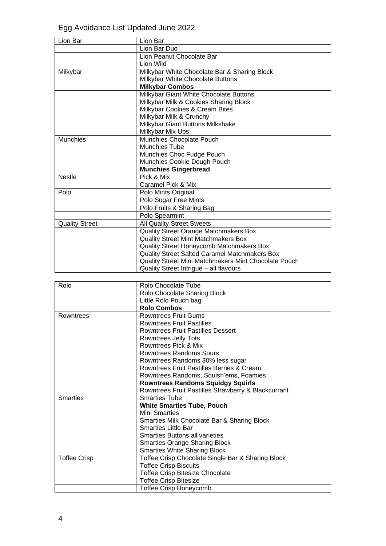Egg Avoidance List Updated June 2022

| Lion Bar              | Lion Bar                                             |
|-----------------------|------------------------------------------------------|
|                       | Lion Bar Duo                                         |
|                       | Lion Peanut Chocolate Bar                            |
|                       | Lion Wild                                            |
| Milkybar              | Milkybar White Chocolate Bar & Sharing Block         |
|                       | Milkybar White Chocolate Buttons                     |
|                       | <b>Milkybar Combos</b>                               |
|                       | Milkybar Giant White Chocolate Buttons               |
|                       | Milkybar Milk & Cookies Sharing Block                |
|                       | Milkybar Cookies & Cream Bites                       |
|                       | Milkybar Milk & Crunchy                              |
|                       | Milkybar Giant Buttons Milkshake                     |
|                       | Milkybar Mix Ups                                     |
| Munchies              | <b>Munchies Chocolate Pouch</b>                      |
|                       | <b>Munchies Tube</b>                                 |
|                       | Munchies Choc Fudge Pouch                            |
|                       | Munchies Cookie Dough Pouch                          |
|                       | <b>Munchies Gingerbread</b>                          |
| <b>Nestle</b>         | Pick & Mix                                           |
|                       | Caramel Pick & Mix                                   |
| Polo                  | Polo Mints Original                                  |
|                       | Polo Sugar Free Mints                                |
|                       | Polo Fruits & Sharing Bag                            |
|                       | Polo Spearmint                                       |
| <b>Quality Street</b> | <b>All Quality Street Sweets</b>                     |
|                       | Quality Street Orange Matchmakers Box                |
|                       | <b>Quality Street Mint Matchmakers Box</b>           |
|                       | Quality Street Honeycomb Matchmakers Box             |
|                       | <b>Quality Street Salted Caramel Matchmakers Box</b> |
|                       | Quality Street Mini Matchmakers Mint Chocolate Pouch |
|                       | Quality Street Intrigue - all flavours               |

| Rolo                | <b>Rolo Chocolate Tube</b>                          |
|---------------------|-----------------------------------------------------|
|                     | Rolo Chocolate Sharing Block                        |
|                     | Little Rolo Pouch bag                               |
|                     | <b>Rolo Combos</b>                                  |
| Rowntrees           | <b>Rowntrees Fruit Gums</b>                         |
|                     | <b>Rowntrees Fruit Pastilles</b>                    |
|                     | <b>Rowntrees Fruit Pastilles Dessert</b>            |
|                     | Rowntrees Jelly Tots                                |
|                     | Rowntrees Pick & Mix                                |
|                     | <b>Rowntrees Randoms Sours</b>                      |
|                     | Rowntrees Randoms 30% less sugar                    |
|                     | Rowntrees Fruit Pastilles Berries & Cream           |
|                     | Rowntrees Randoms, Squish'ems, Foamies              |
|                     | <b>Rowntrees Randoms Squidgy Squirls</b>            |
|                     | Rowntrees Fruit Pastilles Strawberry & Blackcurrant |
| <b>Smarties</b>     | <b>Smarties Tube</b>                                |
|                     | <b>White Smarties Tube, Pouch</b>                   |
|                     | Mini Smarties                                       |
|                     | Smarties Milk Chocolate Bar & Sharing Block         |
|                     | <b>Smarties Little Bar</b>                          |
|                     | <b>Smarties Buttons all varieties</b>               |
|                     | <b>Smarties Orange Sharing Block</b>                |
|                     | <b>Smarties White Sharing Block</b>                 |
| <b>Toffee Crisp</b> | Toffee Crisp Chocolate Single Bar & Sharing Block   |
|                     | <b>Toffee Crisp Biscuits</b>                        |
|                     | <b>Toffee Crisp Bitesize Chocolate</b>              |
|                     | <b>Toffee Crisp Bitesize</b>                        |
|                     | <b>Toffee Crisp Honeycomb</b>                       |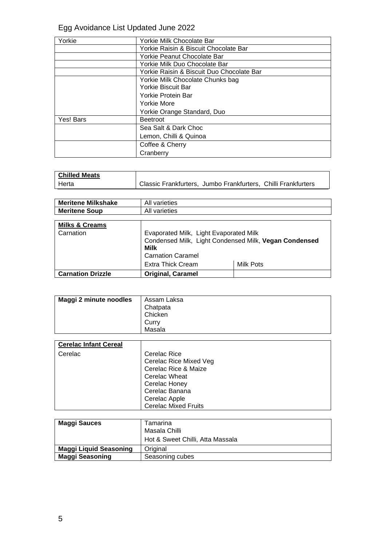# Egg Avoidance List Updated June 2022

| Yorkie    | Yorkie Milk Chocolate Bar                 |
|-----------|-------------------------------------------|
|           | Yorkie Raisin & Biscuit Chocolate Bar     |
|           | Yorkie Peanut Chocolate Bar               |
|           | Yorkie Milk Duo Chocolate Bar             |
|           | Yorkie Raisin & Biscuit Duo Chocolate Bar |
|           | Yorkie Milk Chocolate Chunks bag          |
|           | <b>Yorkie Biscuit Bar</b>                 |
|           | Yorkie Protein Bar                        |
|           | Yorkie More                               |
|           | Yorkie Orange Standard, Duo               |
| Yes! Bars | <b>Beetroot</b>                           |
|           | Sea Salt & Dark Choc                      |
|           | Lemon, Chilli & Quinoa                    |
|           | Coffee & Cherry                           |
|           | Cranberry                                 |

| <b>Chilled Meats</b> |                                                               |  |
|----------------------|---------------------------------------------------------------|--|
| <sup>I</sup> Herta   | Classic Frankfurters, Jumbo Frankfurters, Chilli Frankfurters |  |

| <b>Meritene Milkshake</b> | All varieties |
|---------------------------|---------------|
| <b>Meritene Soup</b>      | All varieties |

| <b>Milks &amp; Creams</b><br>Carnation | Evaporated Milk, Light Evaporated Milk<br>Condensed Milk, Light Condensed Milk, Vegan Condensed<br>Milk<br><b>Carnation Caramel</b> |           |
|----------------------------------------|-------------------------------------------------------------------------------------------------------------------------------------|-----------|
|                                        | <b>Extra Thick Cream</b>                                                                                                            | Milk Pots |
| <b>Carnation Drizzle</b>               | <b>Original, Caramel</b>                                                                                                            |           |

| Maggi 2 minute noodles | Assam Laksa<br>Chatpata |
|------------------------|-------------------------|
|                        | Chicken                 |
|                        | Curry                   |
|                        | Masala                  |

| <b>Cerelac Infant Cereal</b> |                                                                                                                           |
|------------------------------|---------------------------------------------------------------------------------------------------------------------------|
| Cerelac                      | Cerelac Rice<br>Cerelac Rice Mixed Veg<br>Cerelac Rice & Maize<br><b>Cerelac Wheat</b><br>Cerelac Honey<br>Cerelac Banana |
|                              | Cerelac Apple<br><b>Cerelac Mixed Fruits</b>                                                                              |

| <b>Maggi Sauces</b>    | Tamarina<br>Masala Chilli<br>Hot & Sweet Chilli, Atta Massala |
|------------------------|---------------------------------------------------------------|
| Maggi Liquid Seasoning | Original                                                      |
| <b>Maggi Seasoning</b> | Seasoning cubes                                               |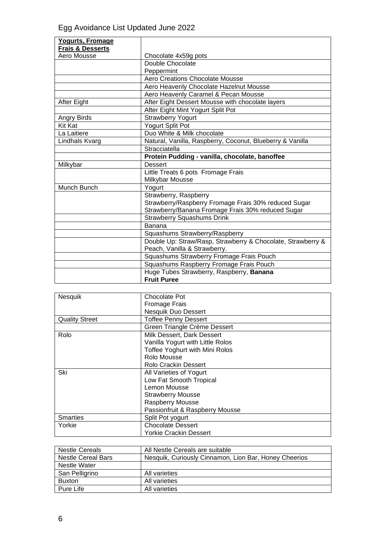| Yogurts, Fromage            |                                                             |
|-----------------------------|-------------------------------------------------------------|
| <b>Frais &amp; Desserts</b> |                                                             |
| Aero Mousse                 | Chocolate 4x59g pots                                        |
|                             | Double Chocolate                                            |
|                             | Peppermint                                                  |
|                             | <b>Aero Creations Chocolate Mousse</b>                      |
|                             | Aero Heavenly Chocolate Hazelnut Mousse                     |
|                             | Aero Heavenly Caramel & Pecan Mousse                        |
| After Eight                 | After Eight Dessert Mousse with chocolate layers            |
|                             | After Eight Mint Yogurt Split Pot                           |
| Angry Birds                 | <b>Strawberry Yogurt</b>                                    |
| <b>Kit Kat</b>              | Yogurt Split Pot                                            |
| La Laitiere                 | Duo White & Milk chocolate                                  |
| Lindhals Kvarg              | Natural, Vanilla, Raspberry, Coconut, Blueberry & Vanilla   |
|                             | Stracciatella                                               |
|                             | Protein Pudding - vanilla, chocolate, banoffee              |
| Milkybar                    | <b>Dessert</b>                                              |
|                             | Little Treats 6 pots Fromage Frais                          |
|                             | Milkybar Mousse                                             |
| Munch Bunch                 | Yogurt                                                      |
|                             | Strawberry, Raspberry                                       |
|                             | Strawberry/Raspberry Fromage Frais 30% reduced Sugar        |
|                             | Strawberry/Banana Fromage Frais 30% reduced Sugar           |
|                             | <b>Strawberry Squashums Drink</b>                           |
|                             | Banana                                                      |
|                             | Squashums Strawberry/Raspberry                              |
|                             | Double Up: Straw/Rasp, Strawberry & Chocolate, Strawberry & |
|                             | Peach, Vanilla & Strawberry.                                |
|                             | Squashums Strawberry Fromage Frais Pouch                    |
|                             | Squashums Raspberry Fromage Frais Pouch                     |
|                             | Huge Tubes Strawberry, Raspberry, Banana                    |
|                             | <b>Fruit Puree</b>                                          |

| Nesquik               | Chocolate Pot                         |
|-----------------------|---------------------------------------|
|                       |                                       |
|                       | <b>Fromage Frais</b>                  |
|                       | Nesquik Duo Dessert                   |
| <b>Quality Street</b> | <b>Toffee Penny Dessert</b>           |
|                       | Green Triangle Crème Dessert          |
| Rolo                  | Milk Dessert, Dark Dessert            |
|                       | Vanilla Yogurt with Little Rolos      |
|                       | <b>Toffee Yoghurt with Mini Rolos</b> |
|                       | Rolo Mousse                           |
|                       | Rolo Crackin Dessert                  |
| Ski                   | All Varieties of Yogurt               |
|                       | Low Fat Smooth Tropical               |
|                       | Lemon Mousse                          |
|                       | <b>Strawberry Mousse</b>              |
|                       | <b>Raspberry Mousse</b>               |
|                       | Passionfruit & Raspberry Mousse       |
| <b>Smarties</b>       | Split Pot yogurt                      |
| Yorkie                | <b>Chocolate Dessert</b>              |
|                       | <b>Yorkie Crackin Dessert</b>         |

| <b>Nestle Cereals</b> | All Nestle Cereals are suitable                       |
|-----------------------|-------------------------------------------------------|
| Nestle Cereal Bars    | Nesquik, Curiously Cinnamon, Lion Bar, Honey Cheerios |
| Nestle Water          |                                                       |
| San Pelligrino        | All varieties                                         |
| <b>Buxton</b>         | All varieties                                         |
| Pure Life             | All varieties                                         |